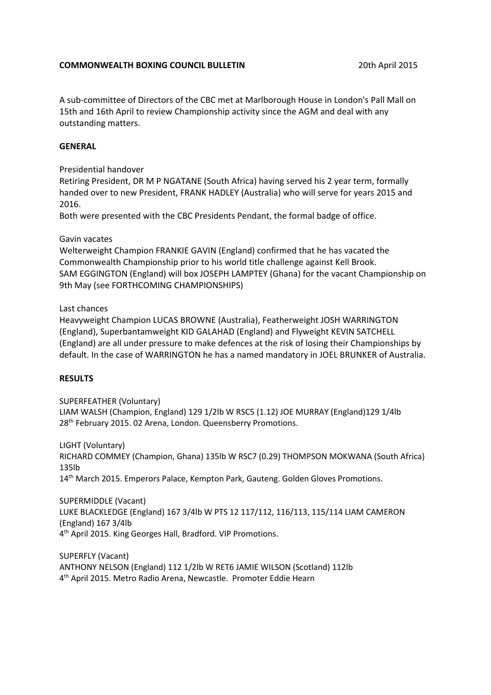### **COMMONWEALTH BOXING COUNCIL BULLETIN** 2015 20th April 2015

A sub-committee of Directors of the CBC met at Marlborough House in London's Pall Mall on 15th and 16th April to review Championship activity since the AGM and deal with any outstanding matters.

## **GENERAL**

Presidential handover

Retiring President, DR M P NGATANE (South Africa) having served his 2 year term, formally handed over to new President, FRANK HADLEY (Australia) who will serve for years 2015 and 2016.

Both were presented with the CBC Presidents Pendant, the formal badge of office.

### Gavin vacates

Welterweight Champion FRANKIE GAVIN (England) confirmed that he has vacated the Commonwealth Championship prior to his world title challenge against Kell Brook. SAM EGGINGTON (England) will box JOSEPH LAMPTEY (Ghana) for the vacant Championship on 9th May (see FORTHCOMING CHAMPIONSHIPS)

### Last chances

Heavyweight Champion LUCAS BROWNE (Australia), Featherweight JOSH WARRINGTON (England), Superbantamweight KID GALAHAD (England) and Flyweight KEVIN SATCHELL (England) are all under pressure to make defences at the risk of losing their Championships by default. In the case of WARRINGTON he has a named mandatory in JOEL BRUNKER of Australia.

# **RESULTS**

SUPERFEATHER (Voluntary)

LIAM WALSH (Champion, England) 129 1/2lb W RSC5 (1.12) JOE MURRAY (England)129 1/4lb 28<sup>th</sup> February 2015. 02 Arena, London. Queensberry Promotions.

LIGHT (Voluntary) RICHARD COMMEY (Champion, Ghana) 135lb W RSC7 (0.29) THOMPSON MOKWANA (South Africa) 135lb 14<sup>th</sup> March 2015. Emperors Palace, Kempton Park, Gauteng. Golden Gloves Promotions.

SUPERMIDDLE (Vacant) LUKE BLACKLEDGE (England) 167 3/4lb W PTS 12 117/112, 116/113, 115/114 LIAM CAMERON (England) 167 3/4lb 4<sup>th</sup> April 2015. King Georges Hall, Bradford. VIP Promotions.

SUPERFLY (Vacant) ANTHONY NELSON (England) 112 1/2lb W RET6 JAMIE WILSON (Scotland) 112lb 4th April 2015. Metro Radio Arena, Newcastle. Promoter Eddie Hearn